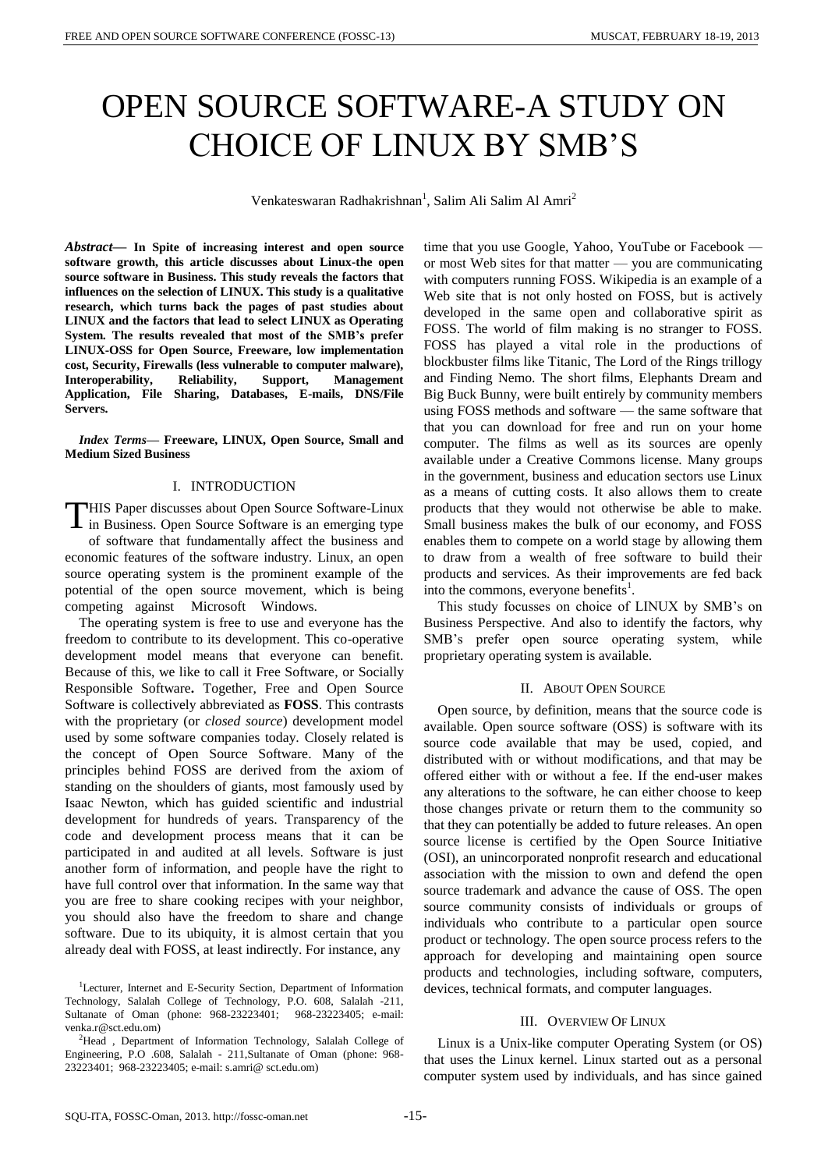# OPEN SOURCE SOFTWARE-A STUDY ON CHOICE OF LINUX BY SMB'S

Venkateswaran Radhakrishnan<sup>1</sup>, Salim Ali Salim Al Amri<sup>2</sup>

*Abstract***— In Spite of increasing interest and open source software growth, this article discusses about Linux-the open source software in Business. This study reveals the factors that influences on the selection of LINUX. This study is a qualitative research, which turns back the pages of past studies about LINUX and the factors that lead to select LINUX as Operating System. The results revealed that most of the SMB's prefer LINUX-OSS for Open Source, Freeware, low implementation cost, Security, Firewalls (less vulnerable to computer malware), Interoperability, Reliability, Support, Management Application, File Sharing, Databases, E-mails, DNS/File Servers.** 

*Index Terms***— Freeware, LINUX, Open Source, Small and Medium Sized Business**

# I. INTRODUCTION

HIS Paper discusses about Open Source Software-Linux THIS Paper discusses about Open Source Software-Linux<br>in Business. Open Source Software is an emerging type of software that fundamentally affect the business and economic features of the software industry. Linux, an open source operating system is the prominent example of the potential of the open source movement, which is being competing against Microsoft Windows.

The operating system is free to use and everyone has the freedom to contribute to its development. This co-operative development model means that everyone can benefit. Because of this, we like to call it [Free Software,](http://www.softwareliberty.com/) or Socially Responsible Software**.** Together, Free and Open Source Software is collectively abbreviated as **FOSS**. This [contrasts](http://en.wikipedia.org/wiki/Open_source_vs._closed_source) with the [proprietary](http://www.linfo.org/proprietary.html) (or *closed source*) development model used by some software companies today. Closely related is the concept of [Open Source Software.](http://www.opensource.org/docs/osd) Many of the principles behind FOSS are derived from the axiom of standing on the shoulders of giants, most famously used by Isaac Newton, which has guided scientific and industrial development for hundreds of years. Transparency of the code and development process means that it can be participated in and audited at all levels. Software is just another form of information, and people have the right to have full control over that information. In the same way that you are free to share cooking recipes with your neighbor, you should also have the freedom to share and change software. Due to its ubiquity, it is almost certain that you already deal with FOSS, at least indirectly. For instance, any

time that you use Google, Yahoo, YouTube or Facebook or most Web sites for that matter — you are communicating with computers running FOSS. Wikipedia is an example of a Web site that is not only hosted on FOSS, but is actively developed in the same open and collaborative spirit as FOSS. The world of film making is no stranger to FOSS. FOSS has played a vital role in the productions of blockbuster films like Titanic, The Lord of the Rings trillogy and Finding Nemo. The short films, Elephants Dream and Big Buck Bunny, were built entirely by community members using FOSS methods and software — the same software that that you can download for free and run on your home computer. The films as well as its sources are openly available under a Creative Commons license. Many groups in the government, business and education sectors use Linux as a means of cutting costs. It also allows them to create products that they would not otherwise be able to make. Small business makes the bulk of our economy, and FOSS enables them to compete on a world stage by allowing them to draw from a wealth of free software to build their products and services. As their improvements are fed back into the commons, everyone benefits $<sup>1</sup>$ .</sup>

This study focusses on choice of LINUX by SMB's on Business Perspective. And also to identify the factors, why SMB's prefer open source operating system, while proprietary operating system is available.

# II. ABOUT OPEN SOURCE

Open source, by definition, means that the source code is available. Open source software (OSS) is software with its source code available that may be used, copied, and distributed with or without modifications, and that may be offered either with or without a fee. If the end-user makes any alterations to the software, he can either choose to keep those changes private or return them to the community so that they can potentially be added to future releases. An open source license is certified by the Open Source Initiative (OSI), an unincorporated nonprofit research and educational association with the mission to own and defend the open source trademark and advance the cause of OSS. The open source community consists of individuals or groups of individuals who contribute to a particular open source product or technology. The open source process refers to the approach for developing and maintaining open source products and technologies, including software, computers, devices, technical formats, and computer languages.

## III. OVERVIEW OF LINUX

Linux is a [Unix-like](http://jobsearchtech.about.com/od/techcareersskills/p/Unix_OS.htm) computer Operating System (or OS) that uses the Linux kernel. Linux started out as a personal computer system used by individuals, and has since gained

<sup>&</sup>lt;sup>1</sup>Lecturer, Internet and E-Security Section, Department of Information Technology, Salalah College of Technology, P.O. 608, Salalah -211, Sultanate of Oman (phone: 968-23223401; 968-23223405; e-mail: venka.r@sct.edu.om)

<sup>&</sup>lt;sup>2</sup>Head , Department of Information Technology, Salalah College of Engineering, P.O .608, Salalah - 211,Sultanate of Oman (phone: 968- 23223401; 968-23223405; e-mail: s.amri@ sct.edu.om)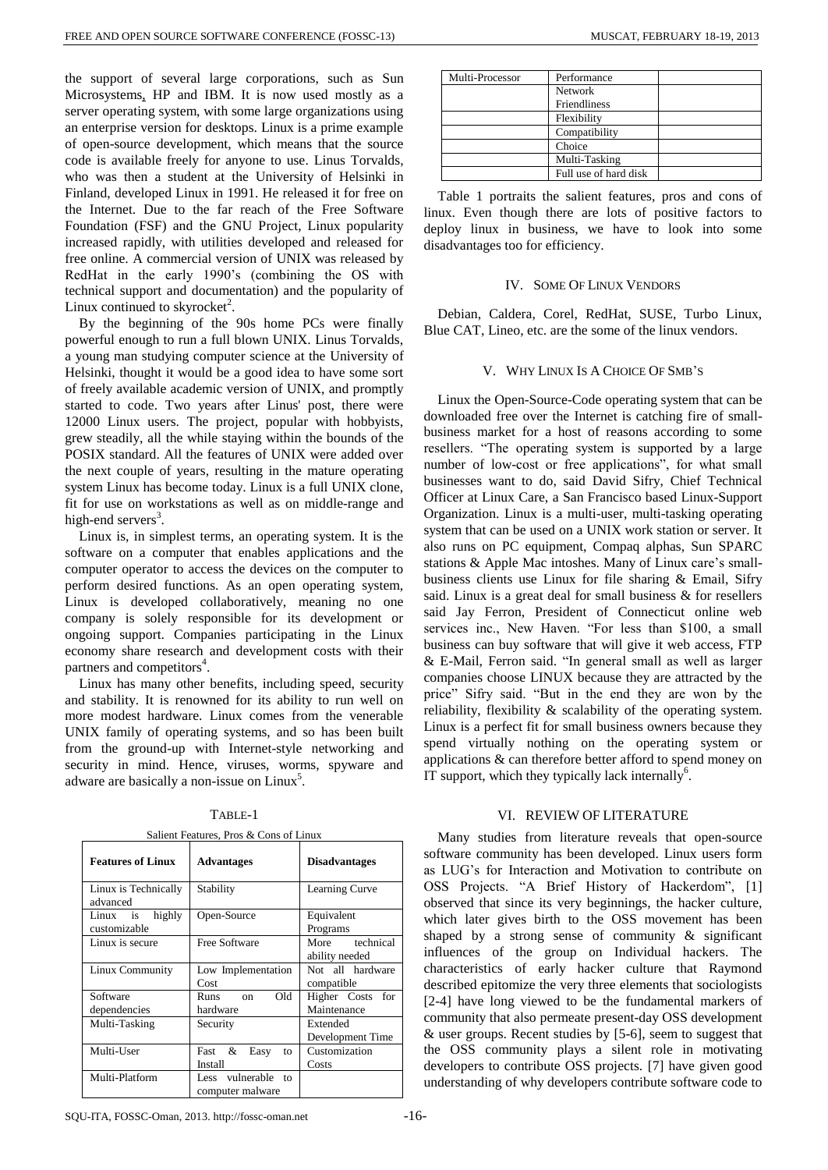the support of several large corporations, such as [Sun](http://jobsearchtech.about.com/od/companyprofiles/p/SunProfile.htm)  [Microsystems,](http://jobsearchtech.about.com/od/companyprofiles/p/SunProfile.htm) HP and IBM. It is now used mostly as a server operating system, with some large organizations using an enterprise version for desktops. Linux is a prime example of open-source development, which means that the source code is available freely for anyone to use. Linus Torvalds, who was then a student at the University of Helsinki in Finland, developed Linux in 1991. He released it for free on the Internet. Due to the far reach of the Free Software Foundation (FSF) and the GNU Project, Linux popularity increased rapidly, with utilities developed and released for free online. A commercial version of UNIX was released by RedHat in the early 1990's (combining the OS with technical support and documentation) and the popularity of Linux continued to skyrocket<sup>2</sup>.

By the beginning of the 90s home PCs were finally powerful enough to run a full blown UNIX. Linus Torvalds, a young man studying computer science at the University of Helsinki, thought it would be a good idea to have some sort of freely available academic version of UNIX, and promptly started to code. Two years after Linus' post, there were 12000 Linux users. The project, popular with hobbyists, grew steadily, all the while staying within the bounds of the POSIX standard. All the features of UNIX were added over the next couple of years, resulting in the mature operating system Linux has become today. Linux is a full UNIX clone, fit for use on workstations as well as on middle-range and high-end servers<sup>3</sup>.

Linux is, in simplest terms, an operating system. It is the software on a computer that enables applications and the computer operator to access the devices on the computer to perform desired functions. As an open operating system, Linux is developed collaboratively, meaning no one company is solely responsible for its development or ongoing support. Companies participating in the Linux economy share research and development costs with their partners and competitors<sup>4</sup>.

Linux has many other benefits, including speed, security and stability. It is renowned for its ability to run well on more modest hardware. Linux comes from the venerable UNIX family of operating systems, and so has been built from the ground-up with Internet-style networking and security in mind. Hence, viruses, worms, spyware and adware are basically a non-issue on Linux<sup>5</sup>.

| <b>Features of Linux</b>           | <b>Advantages</b>                                         | <b>Disadvantages</b>             |
|------------------------------------|-----------------------------------------------------------|----------------------------------|
| Linux is Technically<br>advanced   | Stability                                                 | Learning Curve                   |
| highly<br>Linux is<br>customizable | Open-Source                                               | Equivalent<br>Programs           |
| Linux is secure                    | Free Software                                             | More technical<br>ability needed |
| Linux Community                    | Low Implementation<br>Cost                                | Not all hardware<br>compatible   |
| Software<br>dependencies           | Old<br>Runs<br>$\alpha$ n<br>hardware                     | Higher Costs for<br>Maintenance  |
| Multi-Tasking                      | Security                                                  | Extended<br>Development Time     |
| Multi-User                         | Fast &<br>Easy<br>to<br>Install                           | Customization<br>Costs           |
| Multi-Platform                     | vulnerable<br>Less<br>10 <sub>1</sub><br>computer malware |                                  |

| Multi-Processor | Performance           |  |
|-----------------|-----------------------|--|
|                 | <b>Network</b>        |  |
|                 | Friendliness          |  |
|                 | Flexibility           |  |
|                 | Compatibility         |  |
|                 | Choice                |  |
|                 | Multi-Tasking         |  |
|                 | Full use of hard disk |  |

Table 1 portraits the salient features, pros and cons of linux. Even though there are lots of positive factors to deploy linux in business, we have to look into some disadvantages too for efficiency.

#### IV. SOME OF LINUX VENDORS

Debian, Caldera, Corel, RedHat, SUSE, Turbo Linux, Blue CAT, Lineo, etc. are the some of the linux vendors.

## V. WHY LINUX IS A CHOICE OF SMB'S

Linux the Open-Source-Code operating system that can be downloaded free over the Internet is catching fire of smallbusiness market for a host of reasons according to some resellers. "The operating system is supported by a large number of low-cost or free applications", for what small businesses want to do, said David Sifry, Chief Technical Officer at Linux Care, a San Francisco based Linux-Support Organization. Linux is a multi-user, multi-tasking operating system that can be used on a UNIX work station or server. It also runs on PC equipment, Compaq alphas, Sun SPARC stations & Apple Mac intoshes. Many of Linux care's smallbusiness clients use Linux for file sharing & Email, Sifry said. Linux is a great deal for small business & for resellers said Jay Ferron, President of Connecticut online web services inc., New Haven. "For less than \$100, a small business can buy software that will give it web access, FTP & E-Mail, Ferron said. "In general small as well as larger companies choose LINUX because they are attracted by the price" Sifry said. "But in the end they are won by the reliability, flexibility & scalability of the operating system. Linux is a perfect fit for small business owners because they spend virtually nothing on the operating system or applications & can therefore better afford to spend money on IT support, which they typically lack internally<sup>6</sup>.

## VI. REVIEW OF LITERATURE

Many studies from literature reveals that open-source software community has been developed. Linux users form as LUG's for Interaction and Motivation to contribute on OSS Projects. "A Brief History of Hackerdom", [1] observed that since its very beginnings, the hacker culture, which later gives birth to the OSS movement has been shaped by a strong sense of community  $\&$  significant influences of the group on Individual hackers. The characteristics of early hacker culture that Raymond described epitomize the very three elements that sociologists [2-4] have long viewed to be the fundamental markers of community that also permeate present-day OSS development & user groups. Recent studies by [5-6], seem to suggest that the OSS community plays a silent role in motivating developers to contribute OSS projects. [7] have given good understanding of why developers contribute software code to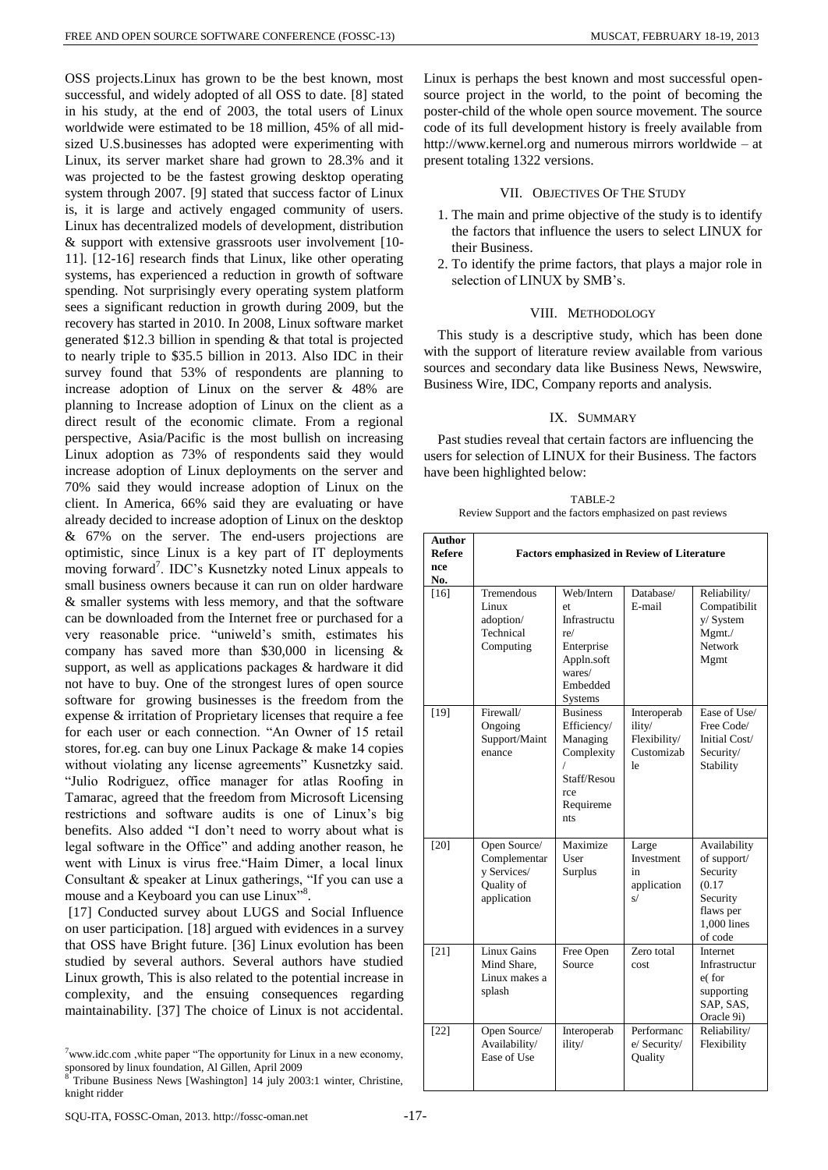OSS projects.Linux has grown to be the best known, most successful, and widely adopted of all OSS to date. [8] stated in his study, at the end of 2003, the total users of Linux worldwide were estimated to be 18 million, 45% of all midsized U.S.businesses has adopted were experimenting with Linux, its server market share had grown to 28.3% and it was projected to be the fastest growing desktop operating system through 2007. [9] stated that success factor of Linux is, it is large and actively engaged community of users. Linux has decentralized models of development, distribution & support with extensive grassroots user involvement [10- 11]. [12-16] research finds that Linux, like other operating systems, has experienced a reduction in growth of software spending. Not surprisingly every operating system platform sees a significant reduction in growth during 2009, but the recovery has started in 2010. In 2008, Linux software market generated \$12.3 billion in spending & that total is projected to nearly triple to \$35.5 billion in 2013. Also IDC in their survey found that 53% of respondents are planning to increase adoption of Linux on the server & 48% are planning to Increase adoption of Linux on the client as a direct result of the economic climate. From a regional perspective, Asia/Pacific is the most bullish on increasing Linux adoption as 73% of respondents said they would increase adoption of Linux deployments on the server and 70% said they would increase adoption of Linux on the client. In America, 66% said they are evaluating or have already decided to increase adoption of Linux on the desktop & 67% on the server. The end-users projections are optimistic, since Linux is a key part of IT deployments moving forward<sup>7</sup>. IDC's Kusnetzky noted Linux appeals to small business owners because it can run on older hardware & smaller systems with less memory, and that the software can be downloaded from the Internet free or purchased for a very reasonable price. "uniweld's smith, estimates his company has saved more than \$30,000 in licensing & support, as well as applications packages & hardware it did not have to buy. One of the strongest lures of open source software for growing businesses is the freedom from the expense & irritation of Proprietary licenses that require a fee for each user or each connection. "An Owner of 15 retail stores, for.eg. can buy one Linux Package & make 14 copies without violating any license agreements" Kusnetzky said. "Julio Rodriguez, office manager for atlas Roofing in Tamarac, agreed that the freedom from Microsoft Licensing restrictions and software audits is one of Linux's big benefits. Also added "I don't need to worry about what is legal software in the Office" and adding another reason, he went with Linux is virus free."Haim Dimer, a local linux Consultant & speaker at Linux gatherings, "If you can use a mouse and a Keyboard you can use Linux" 8 .

[17] Conducted survey about LUGS and Social Influence on user participation. [18] argued with evidences in a survey that OSS have Bright future. [36] Linux evolution has been studied by several authors. Several authors have studied Linux growth, This is also related to the potential increase in complexity, and the ensuing consequences regarding maintainability. [37] The choice of Linux is not accidental.

Linux is perhaps the best known and most successful opensource project in the world, to the point of becoming the poster-child of the whole open source movement. The source code of its full development history is freely available from http://www.kernel.org and numerous mirrors worldwide – at present totaling 1322 versions.

## VII. OBJECTIVES OF THE STUDY

- 1. The main and prime objective of the study is to identify the factors that influence the users to select LINUX for their Business.
- 2. To identify the prime factors, that plays a major role in selection of LINUX by SMB's.

## VIII. METHODOLOGY

This study is a descriptive study, which has been done with the support of literature review available from various sources and secondary data like Business News, Newswire, Business Wire, IDC, Company reports and analysis.

# IX. SUMMARY

Past studies reveal that certain factors are influencing the users for selection of LINUX for their Business. The factors have been highlighted below:

TABLE-2 Review Support and the factors emphasized on past reviews

| <b>Author</b><br><b>Refere</b><br>nce<br>No. | <b>Factors emphasized in Review of Literature</b>                        |                                                                                                             |                                                           |                                                                                                      |
|----------------------------------------------|--------------------------------------------------------------------------|-------------------------------------------------------------------------------------------------------------|-----------------------------------------------------------|------------------------------------------------------------------------------------------------------|
| $[16]$                                       | Tremendous<br>Linux<br>adoption/<br>Technical<br>Computing               | Web/Intern<br>et<br>Infrastructu<br>re/<br>Enterprise<br>Appln.soft<br>wares/<br>Embedded<br><b>Systems</b> | Database/<br>E-mail                                       | Reliability/<br>Compatibilit<br>y/ System<br>Mgmt./<br>Network<br>Mgmt                               |
| $[19]$                                       | Firewall/<br>Ongoing<br>Support/Maint<br>enance                          | <b>Business</b><br>Efficiency/<br>Managing<br>Complexity<br>Staff/Resou<br>rce<br>Requireme<br>nts          | Interoperab<br>ility/<br>Flexibility/<br>Customizab<br>le | Ease of Use/<br>Free Code/<br>Initial Cost/<br>Security/<br>Stability                                |
| $[20]$                                       | Open Source/<br>Complementar<br>v Services/<br>Quality of<br>application | Maximize<br>User<br><b>Surplus</b>                                                                          | Large<br>Investment<br>in<br>application<br>s/            | Availability<br>of support/<br>Security<br>(0.17)<br>Security<br>flaws per<br>1,000 lines<br>of code |
| $[21]$                                       | Linux Gains<br>Mind Share,<br>Linux makes a<br>splash                    | Free Open<br>Source                                                                                         | Zero total<br>cost                                        | <b>Internet</b><br>Infrastructur<br>e(for<br>supporting<br>SAP, SAS,<br>Oracle 9i)                   |
| $[22]$                                       | Open Source/<br>Availability/<br>Ease of Use                             | Interoperab<br>ility/                                                                                       | Performanc<br>e/ Security/<br>Quality                     | Reliability/<br>Flexibility                                                                          |

 $7$ [www.idc.com](http://www.idc.com/), white paper "The opportunity for Linux in a new economy, sponsored by linux foundation, Al Gillen, April 2009

<sup>8</sup> Tribune Business News [Washington] 14 july 2003:1 winter, Christine, knight ridder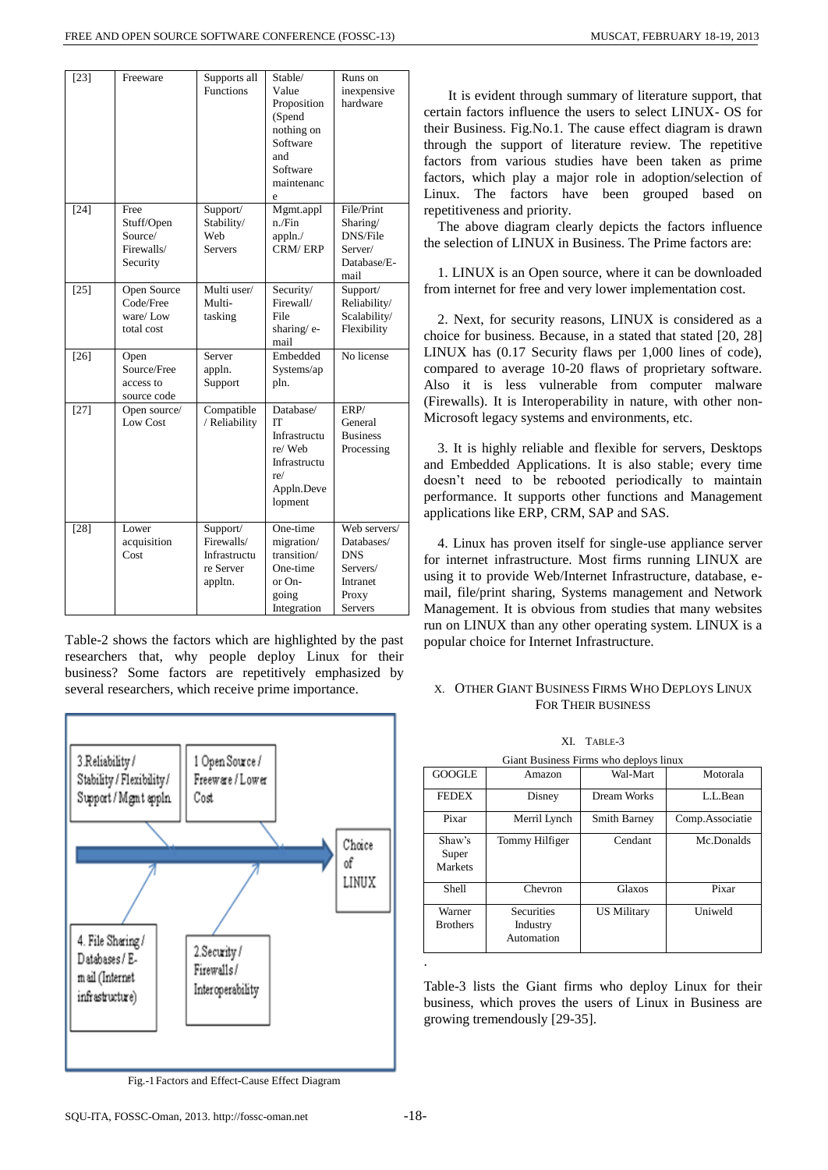| $[23]$ | Freeware                                                | Supports all<br><b>Functions</b>                               | Stable/<br>Value<br>Proposition<br>(Spend<br>nothing on<br>Software<br>and<br>Software<br>maintenanc<br>e | Runs on<br>inexpensive<br>hardware                                                   |
|--------|---------------------------------------------------------|----------------------------------------------------------------|-----------------------------------------------------------------------------------------------------------|--------------------------------------------------------------------------------------|
| $[24]$ | Free<br>Stuff/Open<br>Source/<br>Firewalls/<br>Security | Support/<br>Stability/<br>Web<br>Servers                       | Mgmt.appl<br>n./Fin<br>appln.<br>CRM/ERP                                                                  | File/Print<br>Sharing/<br>DNS/File<br>Server/<br>Database/E-<br>mail                 |
| $[25]$ | Open Source<br>Code/Free<br>ware/Low<br>total cost      | Multi user/<br>Multi-<br>tasking                               | Security/<br>Firewall/<br>File<br>sharing/e-<br>mail                                                      | Support/<br>Reliability/<br>Scalability/<br>Flexibility                              |
| $[26]$ | Open<br>Source/Free<br>access to<br>source code         | Server<br>appln.<br>Support                                    | Embedded<br>Systems/ap<br>pln.                                                                            | No license                                                                           |
| $[27]$ | Open source/<br>Low Cost                                | Compatible<br>/ Reliability                                    | Database/<br>ľТ<br>Infrastructu<br>re/Web<br>Infrastructu<br>re/<br>Appln.Deve<br>lopment                 | ERP/<br>General<br><b>Business</b><br>Processing                                     |
| $[28]$ | Lower<br>acquisition<br>Cost                            | Support/<br>Firewalls/<br>Infrastructu<br>re Server<br>appltn. | One-time<br>migration/<br>transition/<br>One-time<br>or On-<br>going<br>Integration                       | Web servers/<br>Databases/<br><b>DNS</b><br>Servers/<br>Intranet<br>Proxy<br>Servers |

Table-2 shows the factors which are highlighted by the past researchers that, why people deploy Linux for their business? Some factors are repetitively emphasized by several researchers, which receive prime importance.



Fig.-1Factors and Effect-Cause Effect Diagram

 It is evident through summary of literature support, that certain factors influence the users to select LINUX- OS for their Business. Fig.No.1. The cause effect diagram is drawn through the support of literature review. The repetitive factors from various studies have been taken as prime factors, which play a major role in adoption/selection of Linux. The factors have been grouped based on repetitiveness and priority.

The above diagram clearly depicts the factors influence the selection of LINUX in Business. The Prime factors are:

1. LINUX is an Open source, where it can be downloaded from internet for free and very lower implementation cost.

2. Next, for security reasons, LINUX is considered as a choice for business. Because, in a stated that stated [20, 28] LINUX has (0.17 Security flaws per 1,000 lines of code), compared to average 10-20 flaws of proprietary software. Also it is less vulnerable from computer malware (Firewalls). It is Interoperability in nature, with other non-Microsoft legacy systems and environments, etc.

3. It is highly reliable and flexible for servers, Desktops and Embedded Applications. It is also stable; every time doesn't need to be rebooted periodically to maintain performance. It supports other functions and Management applications like ERP, CRM, SAP and SAS.

4. Linux has proven itself for single-use appliance server for internet infrastructure. Most firms running LINUX are using it to provide Web/Internet Infrastructure, database, email, file/print sharing, Systems management and Network Management. It is obvious from studies that many websites run on LINUX than any other operating system. LINUX is a popular choice for Internet Infrastructure.

# X. OTHER GIANT BUSINESS FIRMS WHO DEPLOYS LINUX FOR THEIR BUSINESS

XI. TABLE-3

| Giant Business Firms who deploys linux |                                             |                     |                 |
|----------------------------------------|---------------------------------------------|---------------------|-----------------|
| <b>GOOGLE</b>                          | Amazon                                      | Wal-Mart            | Motorala        |
| <b>FEDEX</b>                           | Disney                                      | Dream Works         | L.L.Bean        |
| Pixar                                  | Merril Lynch                                | <b>Smith Barney</b> | Comp.Associatie |
| Shaw's<br>Super<br>Markets             | Tommy Hilfiger                              | Cendant             | Mc.Donalds      |
| <b>Shell</b>                           | Chevron                                     | Glaxos              | Pixar           |
| Warner<br><b>Brothers</b>              | <b>Securities</b><br>Industry<br>Automation | <b>US Military</b>  | Uniweld         |

Table-3 lists the Giant firms who deploy Linux for their business, which proves the users of Linux in Business are growing tremendously [29-35].

.